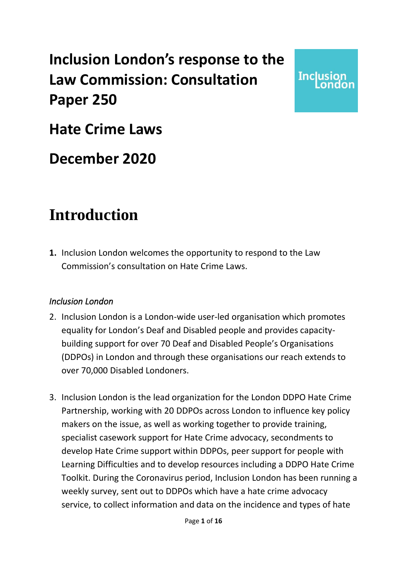### **Inclusion London's response to the Law Commission: Consultation Paper 250**

**Inclusion** 

**Hate Crime Laws**

### **December 2020**

### **Introduction**

**1.** Inclusion London welcomes the opportunity to respond to the Law Commission's consultation on Hate Crime Laws.

### *Inclusion London*

- 2. Inclusion London is a London-wide user-led organisation which promotes equality for London's Deaf and Disabled people and provides capacitybuilding support for over 70 Deaf and Disabled People's Organisations (DDPOs) in London and through these organisations our reach extends to over 70,000 Disabled Londoners.
- 3. Inclusion London is the lead organization for the London DDPO Hate Crime Partnership, working with 20 DDPOs across London to influence key policy makers on the issue, as well as working together to provide training, specialist casework support for Hate Crime advocacy, secondments to develop Hate Crime support within DDPOs, peer support for people with Learning Difficulties and to develop resources including a DDPO Hate Crime Toolkit. During the Coronavirus period, Inclusion London has been running a weekly survey, sent out to DDPOs which have a hate crime advocacy service, to collect information and data on the incidence and types of hate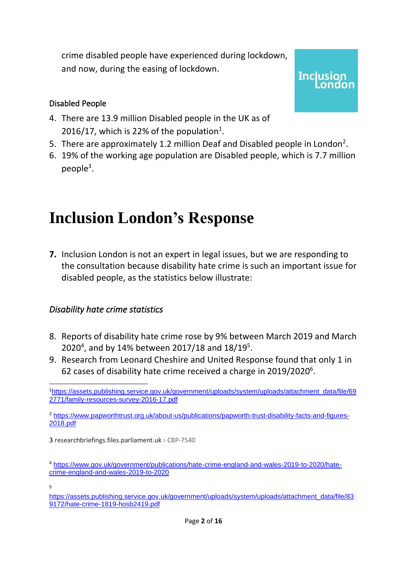crime disabled people have experienced during lockdown, and now, during the easing of lockdown.

#### Disabled People

- 4. There are 13.9 million Disabled people in the UK as of 2016/17, which is 22% of the population<sup>1</sup>.
- 5. There are approximately 1.2 million Deaf and Disabled people in London<sup>2</sup>.

**Inclusion** 

6. 19% of the working age population are Disabled people, which is 7.7 million people<sup>3</sup>.

## **Inclusion London's Response**

**7.** Inclusion London is not an expert in legal issues, but we are responding to the consultation because disability hate crime is such an important issue for disabled people, as the statistics below illustrate:

### *Disability hate crime statistics*

- 8. Reports of disability hate crime rose by 9% between March 2019 and March 2020<sup>4</sup>, and by 14% between 2017/18 and 18/19<sup>5</sup>.
- 9. Research from Leonard Cheshire and United Response found that only 1 in 62 cases of disability hate crime received a charge in 2019/2020 $^6$ .

<sup>2</sup> [https://www.papworthtrust.org.uk/about-us/publications/papworth-trust-disability-facts-and-figures-](https://www.papworthtrust.org.uk/about-us/publications/papworth-trust-disability-facts-and-figures-2018.pdf)[2018.pdf](https://www.papworthtrust.org.uk/about-us/publications/papworth-trust-disability-facts-and-figures-2018.pdf)

3 [researchbriefings.files.parliament.uk](http://researchbriefings.files.parliament.uk/documents/CBP-7540/CBP-7540.pdf) › CBP-7540

<sup>1</sup>[https://assets.publishing.service.gov.uk/government/uploads/system/uploads/attachment\\_data/file/69](https://assets.publishing.service.gov.uk/government/uploads/system/uploads/attachment_data/file/692771/family-resources-survey-2016-17.pdf) [2771/family-resources-survey-2016-17.pdf](https://assets.publishing.service.gov.uk/government/uploads/system/uploads/attachment_data/file/692771/family-resources-survey-2016-17.pdf)

<sup>4</sup> [https://www.gov.uk/government/publications/hate-crime-england-and-wales-2019-to-2020/hate](https://www.gov.uk/government/publications/hate-crime-england-and-wales-2019-to-2020/hate-crime-england-and-wales-2019-to-2020)[crime-england-and-wales-2019-to-2020](https://www.gov.uk/government/publications/hate-crime-england-and-wales-2019-to-2020/hate-crime-england-and-wales-2019-to-2020)

<sup>5</sup>

[https://assets.publishing.service.gov.uk/government/uploads/system/uploads/attachment\\_data/file/83](https://assets.publishing.service.gov.uk/government/uploads/system/uploads/attachment_data/file/839172/hate-crime-1819-hosb2419.pdf) [9172/hate-crime-1819-hosb2419.pdf](https://assets.publishing.service.gov.uk/government/uploads/system/uploads/attachment_data/file/839172/hate-crime-1819-hosb2419.pdf)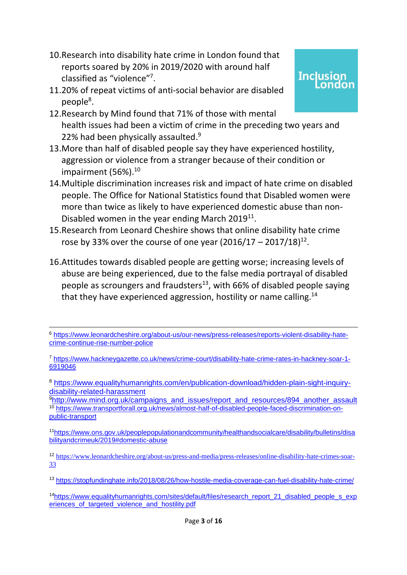- 10.Research into disability hate crime in London found that reports soared by 20% in 2019/2020 with around half classified as "violence" 7 .
- 11.20% of repeat victims of anti-social behavior are disabled people<sup>8</sup>.
- 12.Research by Mind found that 71% of those with mental health issues had been a victim of crime in the preceding two years and 22% had been physically assaulted.<sup>9</sup>

**Inclusion** 

ondon

- 13.More than half of disabled people say they have experienced hostility, aggression or violence from a stranger because of their condition or impairment (56%). 10
- 14.Multiple discrimination increases risk and impact of hate crime on disabled people. The Office for National Statistics found that Disabled women were more than twice as likely to have experienced domestic abuse than non-Disabled women in the year ending March 2019<sup>11</sup>.
- 15.Research from Leonard Cheshire shows that online disability hate crime rose by 33% over the course of one year  $(2016/17 - 2017/18)^{12}$ .
- 16.Attitudes towards disabled people are getting worse; increasing levels of abuse are being experienced, due to the false media portrayal of disabled people as scroungers and fraudsters<sup>13</sup>, with 66% of disabled people saying that they have experienced aggression, hostility or name calling.<sup>14</sup>

<sup>8</sup> [https://www.equalityhumanrights.com/en/publication-download/hidden-plain-sight-inquiry](https://www.equalityhumanrights.com/en/publication-download/hidden-plain-sight-inquiry-disability-related-harassment)[disability-related-harassment](https://www.equalityhumanrights.com/en/publication-download/hidden-plain-sight-inquiry-disability-related-harassment)

<sup>9</sup>[http://www.mind.org.uk/campaigns\\_and\\_issues/report\\_and\\_resources/894\\_another\\_assault](http://www.mind.org.uk/campaigns_and_issues/report_and_resources/894_another_assault) <sup>10</sup> [https://www.transportforall.org.uk/news/almost-half-of-disabled-people-faced-discrimination-on](https://www.transportforall.org.uk/news/almost-half-of-disabled-people-faced-discrimination-on-public-transport)[public-transport](https://www.transportforall.org.uk/news/almost-half-of-disabled-people-faced-discrimination-on-public-transport)

<sup>11</sup>[https://www.ons.gov.uk/peoplepopulationandcommunity/healthandsocialcare/disability/bulletins/disa](https://www.ons.gov.uk/peoplepopulationandcommunity/healthandsocialcare/disability/bulletins/disabilityandcrimeuk/2019#domestic-abuse) [bilityandcrimeuk/2019#domestic-abuse](https://www.ons.gov.uk/peoplepopulationandcommunity/healthandsocialcare/disability/bulletins/disabilityandcrimeuk/2019#domestic-abuse)

<sup>12</sup> [https://www.leonardcheshire.org/about-us/press-and-media/press-releases/online-disability-hate-crimes-soar-](https://www.leonardcheshire.org/about-us/press-and-media/press-releases/online-disability-hate-crimes-soar-33)[33](https://www.leonardcheshire.org/about-us/press-and-media/press-releases/online-disability-hate-crimes-soar-33)

<sup>13</sup> <https://stopfundinghate.info/2018/08/26/how-hostile-media-coverage-can-fuel-disability-hate-crime/>

<sup>6</sup> [https://www.leonardcheshire.org/about-us/our-news/press-releases/reports-violent-disability-hate](https://www.leonardcheshire.org/about-us/our-news/press-releases/reports-violent-disability-hate-crime-continue-rise-number-police)[crime-continue-rise-number-police](https://www.leonardcheshire.org/about-us/our-news/press-releases/reports-violent-disability-hate-crime-continue-rise-number-police)

<sup>7</sup> [https://www.hackneygazette.co.uk/news/crime-court/disability-hate-crime-rates-in-hackney-soar-1-](https://www.hackneygazette.co.uk/news/crime-court/disability-hate-crime-rates-in-hackney-soar-1-6919046) [6919046](https://www.hackneygazette.co.uk/news/crime-court/disability-hate-crime-rates-in-hackney-soar-1-6919046)

<sup>&</sup>lt;sup>14</sup>[https://www.equalityhumanrights.com/sites/default/files/research\\_report\\_21\\_disabled\\_people\\_s\\_exp](https://www.equalityhumanrights.com/sites/default/files/research_report_21_disabled_people_s_experiences_of_targeted_violence_and_hostility.pdf) eriences of targeted violence and hostility.pdf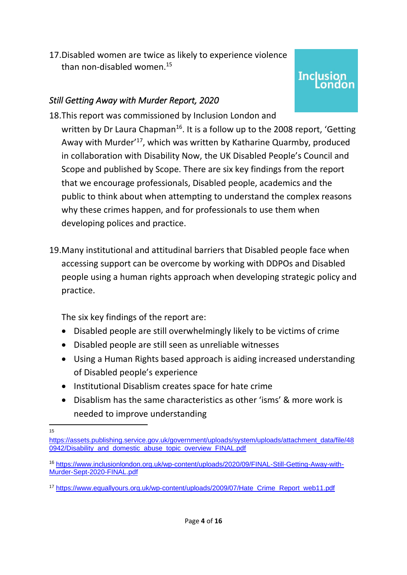17.Disabled women are twice as likely to experience violence than non-disabled women. 15

## **Inclusion**

### *Still Getting Away with Murder Report, 2020*

18.This report was commissioned by Inclusion London and written by Dr Laura Chapman<sup>16</sup>. It is a follow up to the 2008 report, 'Getting Away with Murder'<sup>17</sup>, which was written by Katharine Quarmby, produced in collaboration with Disability Now, the UK Disabled People's Council and Scope and published by Scope. There are six key findings from the report that we encourage professionals, Disabled people, academics and the public to think about when attempting to understand the complex reasons why these crimes happen, and for professionals to use them when developing polices and practice.

19.Many institutional and attitudinal barriers that Disabled people face when accessing support can be overcome by working with DDPOs and Disabled people using a human rights approach when developing strategic policy and practice.

The six key findings of the report are:

- Disabled people are still overwhelmingly likely to be victims of crime
- Disabled people are still seen as unreliable witnesses
- Using a Human Rights based approach is aiding increased understanding of Disabled people's experience
- Institutional Disablism creates space for hate crime
- Disablism has the same characteristics as other 'isms' & more work is needed to improve understanding

<sup>15</sup>

[https://assets.publishing.service.gov.uk/government/uploads/system/uploads/attachment\\_data/file/48](https://assets.publishing.service.gov.uk/government/uploads/system/uploads/attachment_data/file/480942/Disability_and_domestic_abuse_topic_overview_FINAL.pdf) [0942/Disability\\_and\\_domestic\\_abuse\\_topic\\_overview\\_FINAL.pdf](https://assets.publishing.service.gov.uk/government/uploads/system/uploads/attachment_data/file/480942/Disability_and_domestic_abuse_topic_overview_FINAL.pdf)

<sup>16</sup> [https://www.inclusionlondon.org.uk/wp-content/uploads/2020/09/FINAL-Still-Getting-Away-with-](https://www.inclusionlondon.org.uk/wp-content/uploads/2020/09/FINAL-Still-Getting-Away-with-Murder-Sept-2020-FINAL.pdf)[Murder-Sept-2020-FINAL.pdf](https://www.inclusionlondon.org.uk/wp-content/uploads/2020/09/FINAL-Still-Getting-Away-with-Murder-Sept-2020-FINAL.pdf)

<sup>17</sup> [https://www.equallyours.org.uk/wp-content/uploads/2009/07/Hate\\_Crime\\_Report\\_web11.pdf](https://www.equallyours.org.uk/wp-content/uploads/2009/07/Hate_Crime_Report_web11.pdf)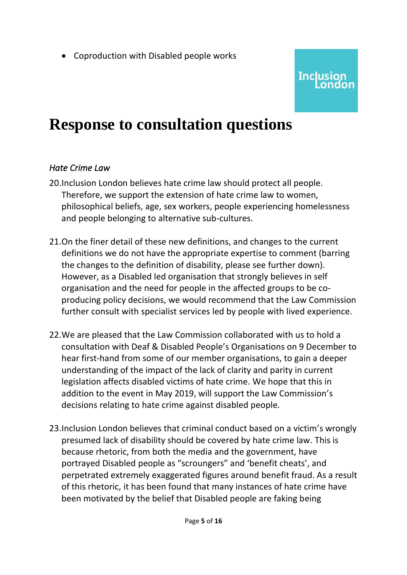• Coproduction with Disabled people works

## **Inclusion**

### **Response to consultation questions**

### *Hate Crime Law*

- 20.Inclusion London believes hate crime law should protect all people. Therefore, we support the extension of hate crime law to women, philosophical beliefs, age, sex workers, people experiencing homelessness and people belonging to alternative sub-cultures.
- 21.On the finer detail of these new definitions, and changes to the current definitions we do not have the appropriate expertise to comment (barring the changes to the definition of disability, please see further down). However, as a Disabled led organisation that strongly believes in self organisation and the need for people in the affected groups to be coproducing policy decisions, we would recommend that the Law Commission further consult with specialist services led by people with lived experience.
- 22.We are pleased that the Law Commission collaborated with us to hold a consultation with Deaf & Disabled People's Organisations on 9 December to hear first-hand from some of our member organisations, to gain a deeper understanding of the impact of the lack of clarity and parity in current legislation affects disabled victims of hate crime. We hope that this in addition to the event in May 2019, will support the Law Commission's decisions relating to hate crime against disabled people.
- 23.Inclusion London believes that criminal conduct based on a victim's wrongly presumed lack of disability should be covered by hate crime law. This is because rhetoric, from both the media and the government, have portrayed Disabled people as "scroungers" and 'benefit cheats', and perpetrated extremely exaggerated figures around benefit fraud. As a result of this rhetoric, it has been found that many instances of hate crime have been motivated by the belief that Disabled people are faking being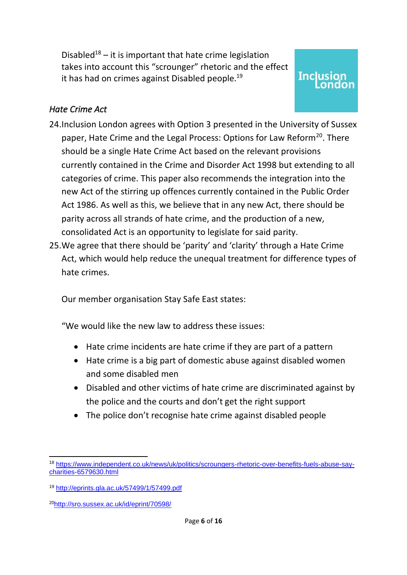Disabled<sup>18</sup> – it is important that hate crime legislation takes into account this "scrounger" rhetoric and the effect it has had on crimes against Disabled people.<sup>19</sup>

## **Inclusion**

### *Hate Crime Act*

- 24.Inclusion London agrees with Option 3 presented in the University of Sussex paper, Hate Crime and the Legal Process: Options for Law Reform<sup>20</sup>. There should be a single Hate Crime Act based on the relevant provisions currently contained in the Crime and Disorder Act 1998 but extending to all categories of crime. This paper also recommends the integration into the new Act of the stirring up offences currently contained in the Public Order Act 1986. As well as this, we believe that in any new Act, there should be parity across all strands of hate crime, and the production of a new, consolidated Act is an opportunity to legislate for said parity.
- 25.We agree that there should be 'parity' and 'clarity' through a Hate Crime Act, which would help reduce the unequal treatment for difference types of hate crimes.

Our member organisation Stay Safe East states:

"We would like the new law to address these issues:

- Hate crime incidents are hate crime if they are part of a pattern
- Hate crime is a big part of domestic abuse against disabled women and some disabled men
- Disabled and other victims of hate crime are discriminated against by the police and the courts and don't get the right support
- The police don't recognise hate crime against disabled people

<sup>18</sup> [https://www.independent.co.uk/news/uk/politics/scroungers-rhetoric-over-benefits-fuels-abuse-say](https://www.independent.co.uk/news/uk/politics/scroungers-rhetoric-over-benefits-fuels-abuse-say-charities-6579630.html)[charities-6579630.html](https://www.independent.co.uk/news/uk/politics/scroungers-rhetoric-over-benefits-fuels-abuse-say-charities-6579630.html)

<sup>19</sup> <http://eprints.gla.ac.uk/57499/1/57499.pdf>

<sup>20</sup><http://sro.sussex.ac.uk/id/eprint/70598/>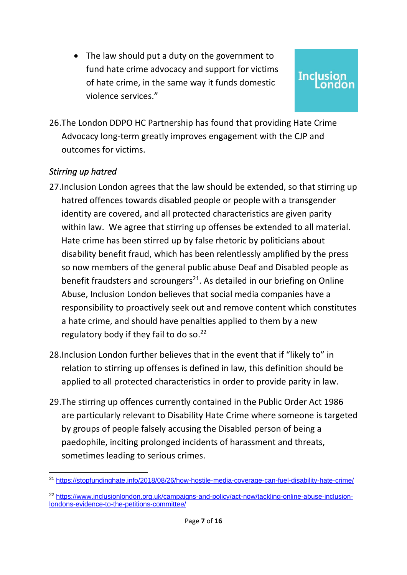• The law should put a duty on the government to fund hate crime advocacy and support for victims of hate crime, in the same way it funds domestic violence services."

# **Inclusion**

26.The London DDPO HC Partnership has found that providing Hate Crime Advocacy long-term greatly improves engagement with the CJP and outcomes for victims.

### *Stirring up hatred*

- 27.Inclusion London agrees that the law should be extended, so that stirring up hatred offences towards disabled people or people with a transgender identity are covered, and all protected characteristics are given parity within law. We agree that stirring up offenses be extended to all material. Hate crime has been stirred up by false rhetoric by politicians about disability benefit fraud, which has been relentlessly amplified by the press so now members of the general public abuse Deaf and Disabled people as benefit fraudsters and scroungers<sup>21</sup>. As detailed in our briefing on Online Abuse, Inclusion London believes that social media companies have a responsibility to proactively seek out and remove content which constitutes a hate crime, and should have penalties applied to them by a new regulatory body if they fail to do so.<sup>22</sup>
- 28.Inclusion London further believes that in the event that if "likely to" in relation to stirring up offenses is defined in law, this definition should be applied to all protected characteristics in order to provide parity in law.
- 29.The stirring up offences currently contained in the Public Order Act 1986 are particularly relevant to Disability Hate Crime where someone is targeted by groups of people falsely accusing the Disabled person of being a paedophile, inciting prolonged incidents of harassment and threats, sometimes leading to serious crimes.

<sup>&</sup>lt;sup>21</sup> <https://stopfundinghate.info/2018/08/26/how-hostile-media-coverage-can-fuel-disability-hate-crime/>

<sup>&</sup>lt;sup>22</sup> [https://www.inclusionlondon.org.uk/campaigns-and-policy/act-now/tackling-online-abuse-inclusion](https://www.inclusionlondon.org.uk/campaigns-and-policy/act-now/tackling-online-abuse-inclusion-londons-evidence-to-the-petitions-committee/)[londons-evidence-to-the-petitions-committee/](https://www.inclusionlondon.org.uk/campaigns-and-policy/act-now/tackling-online-abuse-inclusion-londons-evidence-to-the-petitions-committee/)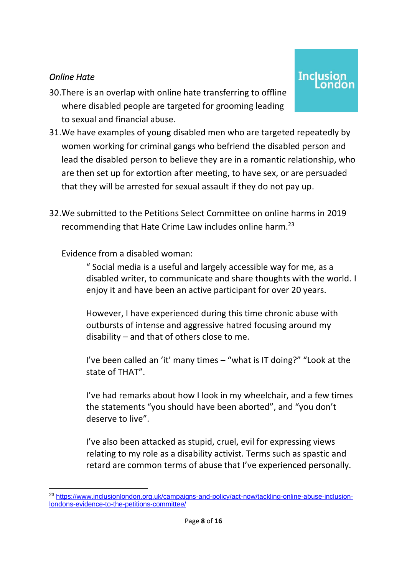### *Online Hate*

- 30.There is an overlap with online hate transferring to offline where disabled people are targeted for grooming leading to sexual and financial abuse.
- 31.We have examples of young disabled men who are targeted repeatedly by women working for criminal gangs who befriend the disabled person and lead the disabled person to believe they are in a romantic relationship, who are then set up for extortion after meeting, to have sex, or are persuaded that they will be arrested for sexual assault if they do not pay up.

**Inclusion** 

32.We submitted to the Petitions Select Committee on online harms in 2019 recommending that Hate Crime Law includes online harm.<sup>23</sup>

### Evidence from a disabled woman:

" Social media is a useful and largely accessible way for me, as a disabled writer, to communicate and share thoughts with the world. I enjoy it and have been an active participant for over 20 years.

However, I have experienced during this time chronic abuse with outbursts of intense and aggressive hatred focusing around my disability – and that of others close to me.

I've been called an 'it' many times – "what is IT doing?" "Look at the state of THAT".

I've had remarks about how I look in my wheelchair, and a few times the statements "you should have been aborted", and "you don't deserve to live".

I've also been attacked as stupid, cruel, evil for expressing views relating to my role as a disability activist. Terms such as spastic and retard are common terms of abuse that I've experienced personally.

<sup>23</sup> [https://www.inclusionlondon.org.uk/campaigns-and-policy/act-now/tackling-online-abuse-inclusion](https://www.inclusionlondon.org.uk/campaigns-and-policy/act-now/tackling-online-abuse-inclusion-londons-evidence-to-the-petitions-committee/)[londons-evidence-to-the-petitions-committee/](https://www.inclusionlondon.org.uk/campaigns-and-policy/act-now/tackling-online-abuse-inclusion-londons-evidence-to-the-petitions-committee/)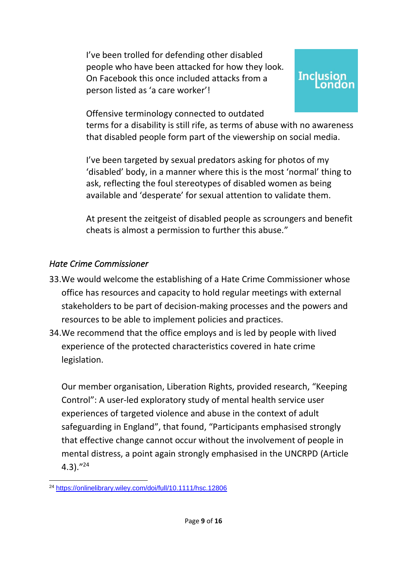I've been trolled for defending other disabled people who have been attacked for how they look. On Facebook this once included attacks from a person listed as 'a care worker'!

# **Inclusion**

Offensive terminology connected to outdated

terms for a disability is still rife, as terms of abuse with no awareness that disabled people form part of the viewership on social media.

I've been targeted by sexual predators asking for photos of my 'disabled' body, in a manner where this is the most 'normal' thing to ask, reflecting the foul stereotypes of disabled women as being available and 'desperate' for sexual attention to validate them.

At present the zeitgeist of disabled people as scroungers and benefit cheats is almost a permission to further this abuse."

### *Hate Crime Commissioner*

- 33.We would welcome the establishing of a Hate Crime Commissioner whose office has resources and capacity to hold regular meetings with external stakeholders to be part of decision-making processes and the powers and resources to be able to implement policies and practices.
- 34.We recommend that the office employs and is led by people with lived experience of the protected characteristics covered in hate crime legislation.

Our member organisation, Liberation Rights, provided research, "Keeping Control": A user‐led exploratory study of mental health service user experiences of targeted violence and abuse in the context of adult safeguarding in England", that found, "Participants emphasised strongly that effective change cannot occur without the involvement of people in mental distress, a point again strongly emphasised in the UNCRPD (Article 4.3)." 24

<sup>24</sup> <https://onlinelibrary.wiley.com/doi/full/10.1111/hsc.12806>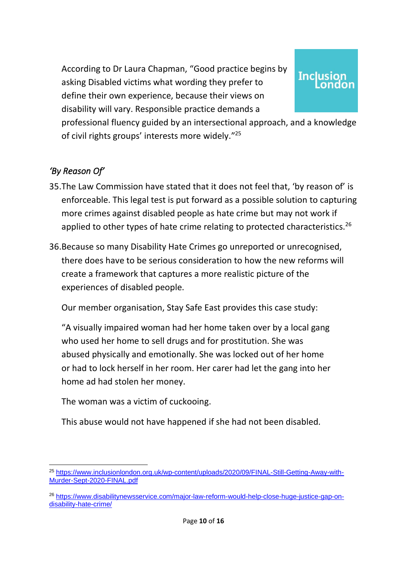According to Dr Laura Chapman, "Good practice begins by asking Disabled victims what wording they prefer to define their own experience, because their views on disability will vary. Responsible practice demands a

# **Inclusion**

professional fluency guided by an intersectional approach, and a knowledge of civil rights groups' interests more widely."<sup>25</sup>

### *'By Reason Of'*

- 35.The Law Commission have stated that it does not feel that, 'by reason of' is enforceable. This legal test is put forward as a possible solution to capturing more crimes against disabled people as hate crime but may not work if applied to other types of hate crime relating to protected characteristics.<sup>26</sup>
- 36.Because so many Disability Hate Crimes go unreported or unrecognised, there does have to be serious consideration to how the new reforms will create a framework that captures a more realistic picture of the experiences of disabled people.

Our member organisation, Stay Safe East provides this case study:

"A visually impaired woman had her home taken over by a local gang who used her home to sell drugs and for prostitution. She was abused physically and emotionally. She was locked out of her home or had to lock herself in her room. Her carer had let the gang into her home ad had stolen her money.

The woman was a victim of cuckooing.

This abuse would not have happened if she had not been disabled.

<sup>25</sup> [https://www.inclusionlondon.org.uk/wp-content/uploads/2020/09/FINAL-Still-Getting-Away-with-](https://www.inclusionlondon.org.uk/wp-content/uploads/2020/09/FINAL-Still-Getting-Away-with-Murder-Sept-2020-FINAL.pdf)[Murder-Sept-2020-FINAL.pdf](https://www.inclusionlondon.org.uk/wp-content/uploads/2020/09/FINAL-Still-Getting-Away-with-Murder-Sept-2020-FINAL.pdf)

<sup>26</sup> [https://www.disabilitynewsservice.com/major-law-reform-would-help-close-huge-justice-gap-on](https://www.disabilitynewsservice.com/major-law-reform-would-help-close-huge-justice-gap-on-disability-hate-crime/)[disability-hate-crime/](https://www.disabilitynewsservice.com/major-law-reform-would-help-close-huge-justice-gap-on-disability-hate-crime/)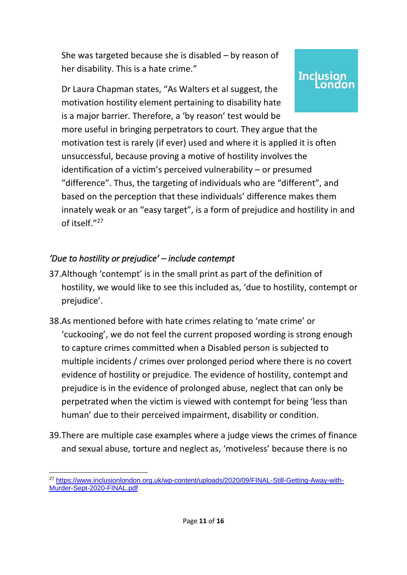She was targeted because she is disabled – by reason of her disability. This is a hate crime."

**Inclusion** 

Dr Laura Chapman states, "As Walters et al suggest, the motivation hostility element pertaining to disability hate is a major barrier. Therefore, a 'by reason' test would be

more useful in bringing perpetrators to court. They argue that the motivation test is rarely (if ever) used and where it is applied it is often unsuccessful, because proving a motive of hostility involves the identification of a victim's perceived vulnerability – or presumed "difference". Thus, the targeting of individuals who are "different", and based on the perception that these individuals' difference makes them innately weak or an "easy target", is a form of prejudice and hostility in and of itself." 27

### *'Due to hostility or prejudice' – include contempt*

- 37.Although 'contempt' is in the small print as part of the definition of hostility, we would like to see this included as, 'due to hostility, contempt or prejudice'.
- 38.As mentioned before with hate crimes relating to 'mate crime' or 'cuckooing', we do not feel the current proposed wording is strong enough to capture crimes committed when a Disabled person is subjected to multiple incidents / crimes over prolonged period where there is no covert evidence of hostility or prejudice. The evidence of hostility, contempt and prejudice is in the evidence of prolonged abuse, neglect that can only be perpetrated when the victim is viewed with contempt for being 'less than human' due to their perceived impairment, disability or condition.
- 39.There are multiple case examples where a judge views the crimes of finance and sexual abuse, torture and neglect as, 'motiveless' because there is no

<sup>&</sup>lt;sup>27</sup> [https://www.inclusionlondon.org.uk/wp-content/uploads/2020/09/FINAL-Still-Getting-Away-with-](https://www.inclusionlondon.org.uk/wp-content/uploads/2020/09/FINAL-Still-Getting-Away-with-Murder-Sept-2020-FINAL.pdf)[Murder-Sept-2020-FINAL.pdf](https://www.inclusionlondon.org.uk/wp-content/uploads/2020/09/FINAL-Still-Getting-Away-with-Murder-Sept-2020-FINAL.pdf)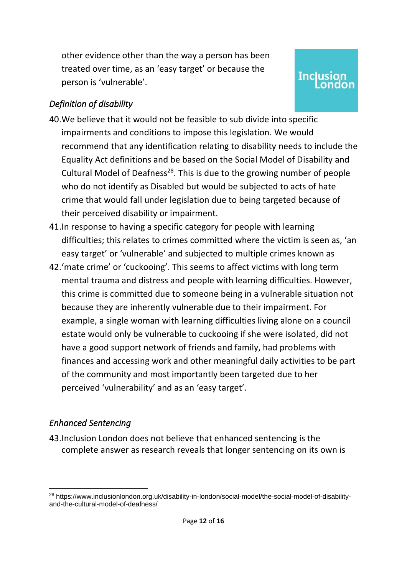other evidence other than the way a person has been treated over time, as an 'easy target' or because the person is 'vulnerable'.

## **Inclusion**

### *Definition of disability*

- 40.We believe that it would not be feasible to sub divide into specific impairments and conditions to impose this legislation. We would recommend that any identification relating to disability needs to include the Equality Act definitions and be based on the Social Model of Disability and Cultural Model of Deafness<sup>28</sup>. This is due to the growing number of people who do not identify as Disabled but would be subjected to acts of hate crime that would fall under legislation due to being targeted because of their perceived disability or impairment.
- 41.In response to having a specific category for people with learning difficulties; this relates to crimes committed where the victim is seen as, 'an easy target' or 'vulnerable' and subjected to multiple crimes known as
- 42.'mate crime' or 'cuckooing'. This seems to affect victims with long term mental trauma and distress and people with learning difficulties. However, this crime is committed due to someone being in a vulnerable situation not because they are inherently vulnerable due to their impairment. For example, a single woman with learning difficulties living alone on a council estate would only be vulnerable to cuckooing if she were isolated, did not have a good support network of friends and family, had problems with finances and accessing work and other meaningful daily activities to be part of the community and most importantly been targeted due to her perceived 'vulnerability' and as an 'easy target'.

### *Enhanced Sentencing*

43.Inclusion London does not believe that enhanced sentencing is the complete answer as research reveals that longer sentencing on its own is

<sup>28</sup> https://www.inclusionlondon.org.uk/disability-in-london/social-model/the-social-model-of-disabilityand-the-cultural-model-of-deafness/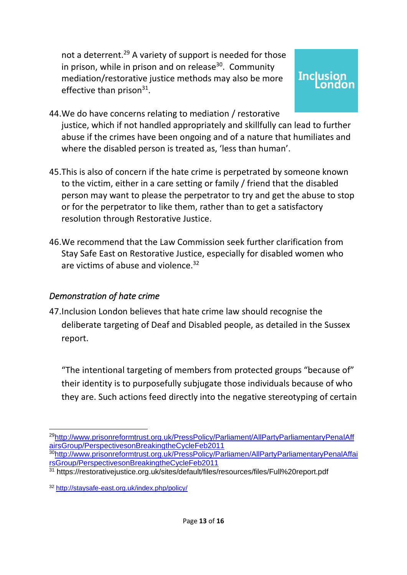not a deterrent. <sup>29</sup> A variety of support is needed for those in prison, while in prison and on release<sup>30</sup>. Community mediation/restorative justice methods may also be more effective than prison<sup>31</sup>.

### **Inclusion** ondon

- 44.We do have concerns relating to mediation / restorative justice, which if not handled appropriately and skillfully can lead to further abuse if the crimes have been ongoing and of a nature that humiliates and where the disabled person is treated as, 'less than human'.
- 45.This is also of concern if the hate crime is perpetrated by someone known to the victim, either in a care setting or family / friend that the disabled person may want to please the perpetrator to try and get the abuse to stop or for the perpetrator to like them, rather than to get a satisfactory resolution through Restorative Justice.
- 46.We recommend that the Law Commission seek further clarification from Stay Safe East on Restorative Justice, especially for disabled women who are victims of abuse and violence.<sup>32</sup>

### *Demonstration of hate crime*

47.Inclusion London believes that hate crime law should recognise the deliberate targeting of Deaf and Disabled people, as detailed in the Sussex report.

"The intentional targeting of members from protected groups "because of" their identity is to purposefully subjugate those individuals because of who they are. Such actions feed directly into the negative stereotyping of certain

<sup>29</sup>[http://www.prisonreformtrust.org.uk/PressPolicy/Parliament/AllPartyParliamentaryPenalAff](http://www.prisonreformtrust.org.uk/PressPolicy/Parliament/AllPartyParliamentaryPenalAffairsGroup/PerspectivesonBreakingtheCycleFeb2011) [airsGroup/PerspectivesonBreakingtheCycleFeb2011](http://www.prisonreformtrust.org.uk/PressPolicy/Parliament/AllPartyParliamentaryPenalAffairsGroup/PerspectivesonBreakingtheCycleFeb2011)

<sup>&</sup>lt;sup>30</sup>[http://www.prisonreformtrust.org.uk/PressPolicy/Parliamen/AllPartyParliamentaryPenalAffai](http://www.prisonreformtrust.org.uk/PressPolicy/Parliamen/AllPartyParliamentaryPenalAffairsGroup/PerspectivesonBreakingtheCycleFeb2011) [rsGroup/PerspectivesonBreakingtheCycleFeb2011](http://www.prisonreformtrust.org.uk/PressPolicy/Parliamen/AllPartyParliamentaryPenalAffairsGroup/PerspectivesonBreakingtheCycleFeb2011)

<sup>31</sup> https://restorativejustice.org.uk/sites/default/files/resources/files/Full%20report.pdf

<sup>32</sup> <http://staysafe-east.org.uk/index.php/policy/>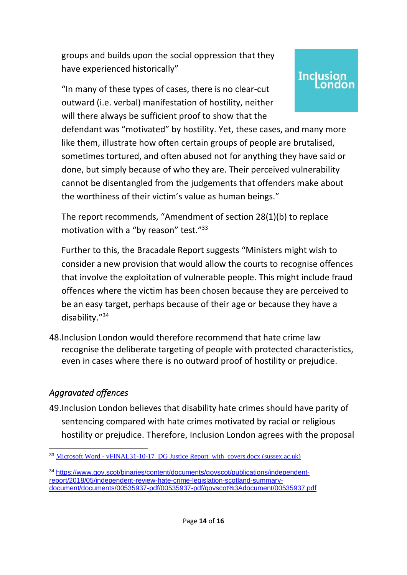groups and builds upon the social oppression that they have experienced historically"

"In many of these types of cases, there is no clear-cut outward (i.e. verbal) manifestation of hostility, neither will there always be sufficient proof to show that the

defendant was "motivated" by hostility. Yet, these cases, and many more like them, illustrate how often certain groups of people are brutalised, sometimes tortured, and often abused not for anything they have said or done, but simply because of who they are. Their perceived vulnerability cannot be disentangled from the judgements that offenders make about the worthiness of their victim's value as human beings."

**Inclusion** 

The report recommends, "Amendment of section 28(1)(b) to replace motivation with a "by reason" test."<sup>33</sup>

Further to this, the Bracadale Report suggests "Ministers might wish to consider a new provision that would allow the courts to recognise offences that involve the exploitation of vulnerable people. This might include fraud offences where the victim has been chosen because they are perceived to be an easy target, perhaps because of their age or because they have a disability." 34

48.Inclusion London would therefore recommend that hate crime law recognise the deliberate targeting of people with protected characteristics, even in cases where there is no outward proof of hostility or prejudice.

### *Aggravated offences*

49.Inclusion London believes that disability hate crimes should have parity of sentencing compared with hate crimes motivated by racial or religious hostility or prejudice. Therefore, Inclusion London agrees with the proposal

<sup>&</sup>lt;sup>33</sup> Microsoft Word - vFINAL31-10-17 DG Justice Report\_with\_covers.docx (sussex.ac.uk)

<sup>34</sup> [https://www.gov.scot/binaries/content/documents/govscot/publications/independent](https://www.gov.scot/binaries/content/documents/govscot/publications/independent-report/2018/05/independent-review-hate-crime-legislation-scotland-summary-document/documents/00535937-pdf/00535937-pdf/govscot%3Adocument/00535937.pdf)[report/2018/05/independent-review-hate-crime-legislation-scotland-summary](https://www.gov.scot/binaries/content/documents/govscot/publications/independent-report/2018/05/independent-review-hate-crime-legislation-scotland-summary-document/documents/00535937-pdf/00535937-pdf/govscot%3Adocument/00535937.pdf)[document/documents/00535937-pdf/00535937-pdf/govscot%3Adocument/00535937.pdf](https://www.gov.scot/binaries/content/documents/govscot/publications/independent-report/2018/05/independent-review-hate-crime-legislation-scotland-summary-document/documents/00535937-pdf/00535937-pdf/govscot%3Adocument/00535937.pdf)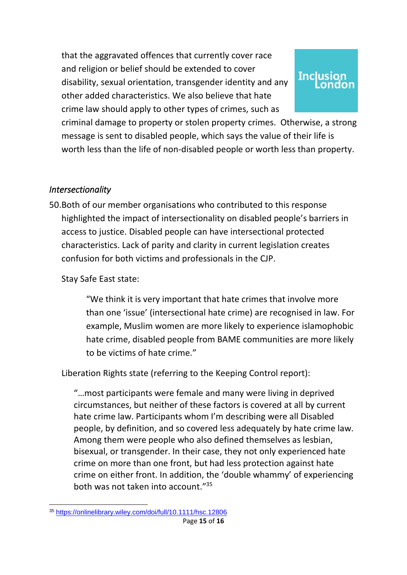that the aggravated offences that currently cover race and religion or belief should be extended to cover disability, sexual orientation, transgender identity and any other added characteristics. We also believe that hate crime law should apply to other types of crimes, such as

# **Inclusion**

criminal damage to property or stolen property crimes. Otherwise, a strong message is sent to disabled people, which says the value of their life is worth less than the life of non-disabled people or worth less than property.

### *Intersectionality*

50.Both of our member organisations who contributed to this response highlighted the impact of intersectionality on disabled people's barriers in access to justice. Disabled people can have intersectional protected characteristics. Lack of parity and clarity in current legislation creates confusion for both victims and professionals in the CJP.

Stay Safe East state:

"We think it is very important that hate crimes that involve more than one 'issue' (intersectional hate crime) are recognised in law. For example, Muslim women are more likely to experience islamophobic hate crime, disabled people from BAME communities are more likely to be victims of hate crime."

Liberation Rights state (referring to the Keeping Control report):

"…most participants were female and many were living in deprived circumstances, but neither of these factors is covered at all by current hate crime law. Participants whom I'm describing were all Disabled people, by definition, and so covered less adequately by hate crime law. Among them were people who also defined themselves as lesbian, bisexual, or transgender. In their case, they not only experienced hate crime on more than one front, but had less protection against hate crime on either front. In addition, the 'double whammy' of experiencing both was not taken into account."<sup>35</sup>

<sup>35</sup> <https://onlinelibrary.wiley.com/doi/full/10.1111/hsc.12806>